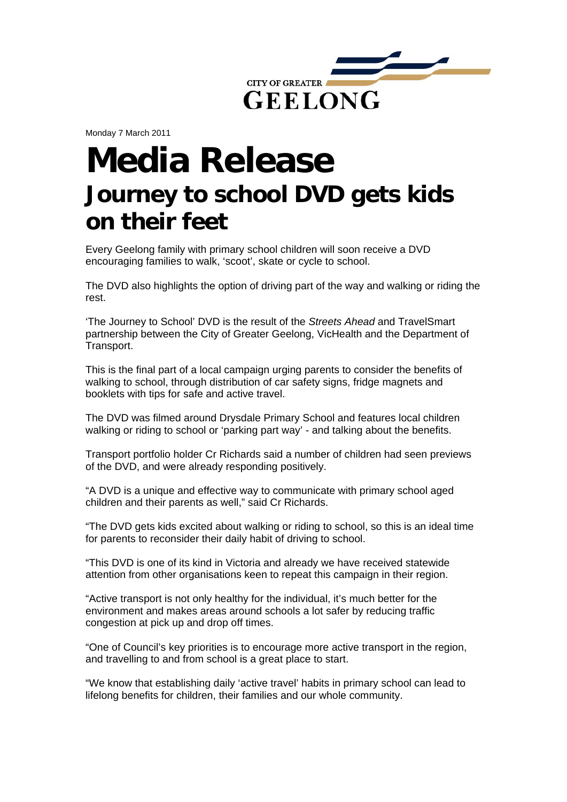

Monday 7 March 2011

## **Media Release Journey to school DVD gets kids on their feet**

Every Geelong family with primary school children will soon receive a DVD encouraging families to walk, 'scoot', skate or cycle to school.

The DVD also highlights the option of driving part of the way and walking or riding the rest.

'The Journey to School' DVD is the result of the *Streets Ahead* and TravelSmart partnership between the City of Greater Geelong, VicHealth and the Department of Transport.

This is the final part of a local campaign urging parents to consider the benefits of walking to school, through distribution of car safety signs, fridge magnets and booklets with tips for safe and active travel.

The DVD was filmed around Drysdale Primary School and features local children walking or riding to school or 'parking part way' - and talking about the benefits.

Transport portfolio holder Cr Richards said a number of children had seen previews of the DVD, and were already responding positively.

"A DVD is a unique and effective way to communicate with primary school aged children and their parents as well," said Cr Richards.

"The DVD gets kids excited about walking or riding to school, so this is an ideal time for parents to reconsider their daily habit of driving to school.

"This DVD is one of its kind in Victoria and already we have received statewide attention from other organisations keen to repeat this campaign in their region.

"Active transport is not only healthy for the individual, it's much better for the environment and makes areas around schools a lot safer by reducing traffic congestion at pick up and drop off times.

"One of Council's key priorities is to encourage more active transport in the region, and travelling to and from school is a great place to start.

"We know that establishing daily 'active travel' habits in primary school can lead to lifelong benefits for children, their families and our whole community.